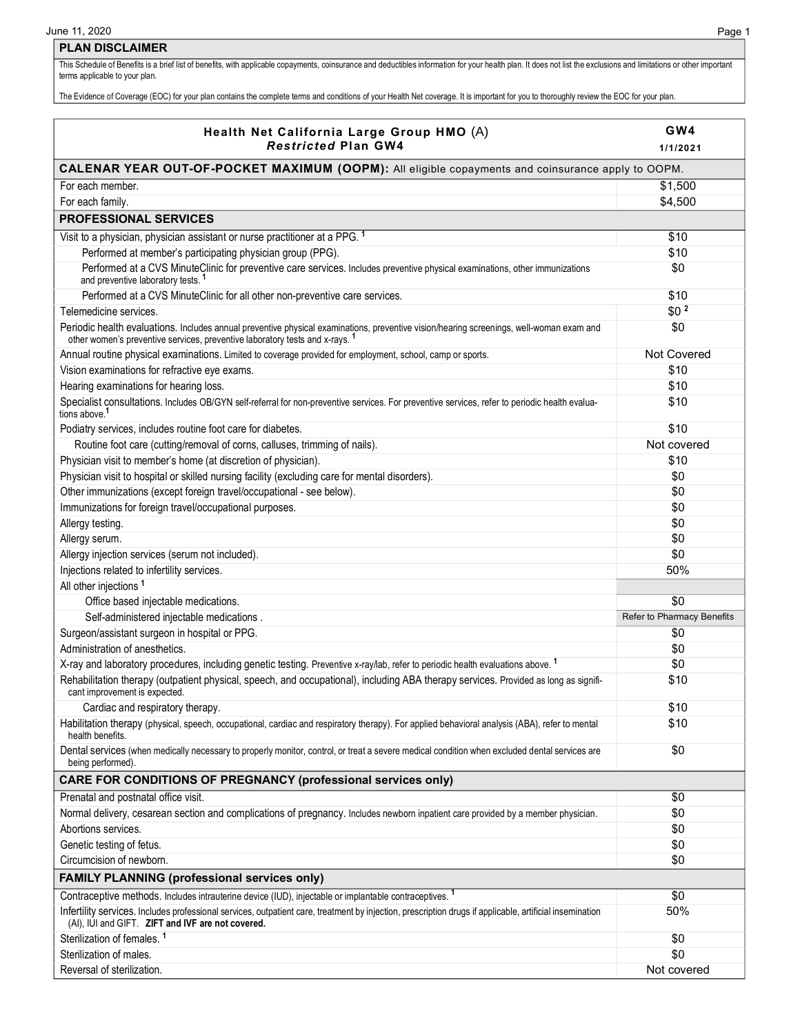## **PLAN DISCLAIMER**

This Schedule of Benefits is a brief list of benefits, with applicable copayments, coinsurance and deductibles information for your health plan. It does not list the exclusions and limitations or other important terms applicable to your plan.

The Evidence of Coverage (EOC) for your plan contains the complete terms and conditions of your Health Net coverage. It is important for you to thoroughly review the EOC for your plan.

| Health Net California Large Group HMO (A)<br><b>Restricted Plan GW4</b>                                                                                                                                                  | GW4<br>1/1/2021            |  |
|--------------------------------------------------------------------------------------------------------------------------------------------------------------------------------------------------------------------------|----------------------------|--|
| CALENAR YEAR OUT-OF-POCKET MAXIMUM (OOPM): All eligible copayments and coinsurance apply to OOPM.                                                                                                                        |                            |  |
| For each member.                                                                                                                                                                                                         | \$1,500                    |  |
| For each family.                                                                                                                                                                                                         | \$4,500                    |  |
| <b>PROFESSIONAL SERVICES</b>                                                                                                                                                                                             |                            |  |
|                                                                                                                                                                                                                          |                            |  |
| Visit to a physician, physician assistant or nurse practitioner at a PPG. <sup>1</sup>                                                                                                                                   | \$10                       |  |
| Performed at member's participating physician group (PPG).                                                                                                                                                               | \$10                       |  |
| Performed at a CVS MinuteClinic for preventive care services. Includes preventive physical examinations, other immunizations<br>and preventive laboratory tests. <sup>1</sup>                                            | \$0                        |  |
| Performed at a CVS MinuteClinic for all other non-preventive care services.                                                                                                                                              | \$10                       |  |
| Telemedicine services.                                                                                                                                                                                                   | \$0 <sup>2</sup>           |  |
| Periodic health evaluations. Includes annual preventive physical examinations, preventive vision/hearing screenings, well-woman exam and<br>other women's preventive services, preventive laboratory tests and x-rays. 1 | \$0                        |  |
| Annual routine physical examinations. Limited to coverage provided for employment, school, camp or sports.                                                                                                               | <b>Not Covered</b>         |  |
| Vision examinations for refractive eye exams.                                                                                                                                                                            | \$10                       |  |
| Hearing examinations for hearing loss.                                                                                                                                                                                   | \$10                       |  |
| Specialist consultations. Includes OB/GYN self-referral for non-preventive services. For preventive services, refer to periodic health evalua-<br>tions above. <sup>1</sup>                                              | \$10                       |  |
| Podiatry services, includes routine foot care for diabetes.                                                                                                                                                              | \$10                       |  |
| Routine foot care (cutting/removal of corns, calluses, trimming of nails).                                                                                                                                               | Not covered                |  |
| Physician visit to member's home (at discretion of physician).                                                                                                                                                           | \$10                       |  |
| Physician visit to hospital or skilled nursing facility (excluding care for mental disorders).                                                                                                                           | \$0                        |  |
| Other immunizations (except foreign travel/occupational - see below).                                                                                                                                                    | \$0                        |  |
| Immunizations for foreign travel/occupational purposes.                                                                                                                                                                  | \$0                        |  |
| Allergy testing.                                                                                                                                                                                                         | \$0                        |  |
| Allergy serum.                                                                                                                                                                                                           | \$0                        |  |
| Allergy injection services (serum not included).                                                                                                                                                                         | \$0                        |  |
| Injections related to infertility services.                                                                                                                                                                              | 50%                        |  |
| All other injections <sup>1</sup>                                                                                                                                                                                        |                            |  |
| Office based injectable medications.                                                                                                                                                                                     | \$0                        |  |
| Self-administered injectable medications.                                                                                                                                                                                | Refer to Pharmacy Benefits |  |
| Surgeon/assistant surgeon in hospital or PPG.                                                                                                                                                                            | \$0                        |  |
| Administration of anesthetics.                                                                                                                                                                                           | \$0                        |  |
| X-ray and laboratory procedures, including genetic testing. Preventive x-ray/lab, refer to periodic health evaluations above. <sup>1</sup>                                                                               | \$0                        |  |
| Rehabilitation therapy (outpatient physical, speech, and occupational), including ABA therapy services. Provided as long as signifi-<br>cant improvement is expected.                                                    | \$10                       |  |
| Cardiac and respiratory therapy.                                                                                                                                                                                         | \$10                       |  |
| Habilitation therapy (physical, speech, occupational, cardiac and respiratory therapy). For applied behavioral analysis (ABA), refer to mental<br>health benefits.                                                       | \$10                       |  |
| Dental services (when medically necessary to properly monitor, control, or treat a severe medical condition when excluded dental services are<br>being performed).                                                       | \$0                        |  |
| <b>CARE FOR CONDITIONS OF PREGNANCY (professional services only)</b>                                                                                                                                                     |                            |  |
| Prenatal and postnatal office visit.                                                                                                                                                                                     | \$0                        |  |
| Normal delivery, cesarean section and complications of pregnancy. Includes newborn inpatient care provided by a member physician.                                                                                        | \$0                        |  |
| Abortions services.                                                                                                                                                                                                      | \$0                        |  |
| Genetic testing of fetus.                                                                                                                                                                                                | \$0                        |  |
| Circumcision of newborn.                                                                                                                                                                                                 | \$0                        |  |
| <b>FAMILY PLANNING (professional services only)</b>                                                                                                                                                                      |                            |  |
| Contraceptive methods. Includes intrauterine device (IUD), injectable or implantable contraceptives. <sup>1</sup>                                                                                                        | \$0                        |  |
| Infertility services. Includes professional services, outpatient care, treatment by injection, prescription drugs if applicable, artificial insemination<br>(AI), IUI and GIFT. ZIFT and IVF are not covered.            | 50%                        |  |
| Sterilization of females. <sup>1</sup>                                                                                                                                                                                   | \$0                        |  |
| Sterilization of males.                                                                                                                                                                                                  | \$0                        |  |
| Reversal of sterilization.                                                                                                                                                                                               | Not covered                |  |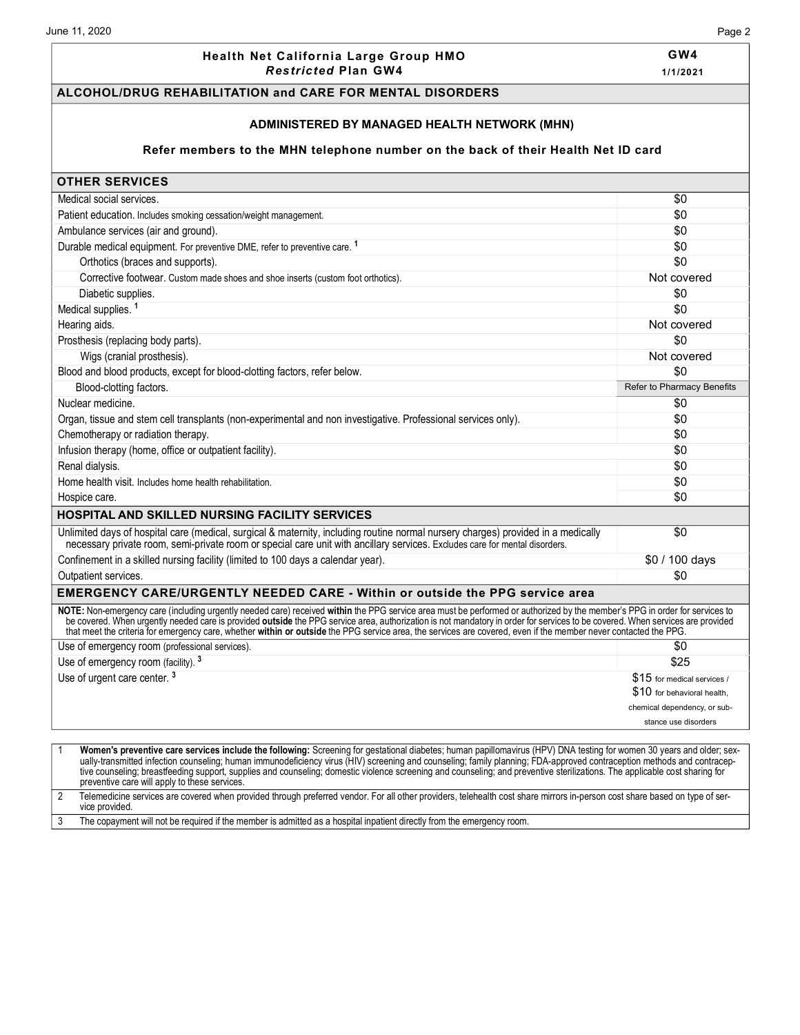#### **Health Net California Large Group HMO** *Res tric ted* **Plan GW4**

# **GW4**

**1/1/2021**

#### **ALCOHOL/DRUG REHABILITATION and CARE FOR MENTAL DISORDERS**

#### **ADMINISTERED BY MANAGED HEALTH NETWORK (MHN)**

#### **Refer members to the MHN telephone number on the back of their Health Net ID card**

### **OTHER SERVICES** Medical social services. \$0 Patient education. Includes smoking cessation/weight management. \$0 Ambulance services (air and ground). \$0 Durable medical equipment. For preventive DME, refer to preventive care. <sup>1</sup> \$0 Orthotics (braces and supports).  $\$0$ Corrective footwear. Custom made shoes and shoe inserts (custom foot orthotics). Not covered Not covered Diabetic supplies. \$0 Medical supplies. <sup>1</sup> \$0 Hearing aids. Not covered Prosthesis (replacing body parts).  $\sim$  50 Wigs (cranial prosthesis). Not covered with the state of the state of the state of the state of the state of the state of the state of the state of the state of the state of the state of the state of the state of the state Blood and blood products, except for blood-clotting factors, refer below.  $\text{$0$}$ Blood-clotting factors. Refer to Pharmacy Benefits Nuclear medicine. \$0 Organ, tissue and stem cell transplants (non-experimental and non investigative. Professional services only). \$0 Chemotherapy or radiation therapy.  $\sim$  50 Infusion therapy (home, office or outpatient facility). \$0 Renal dialysis. \$0 Home health visit. Includes home health rehabilitation. **\$0**  $$0$ Hospice care. \$0 **HOSPITAL AND SKILLED NURSING FACILITY SERVICES** Unlimited days of hospital care (medical, surgical & maternity, including routine normal nursery charges) provided in a medically necessary private room, semi-private room or special care unit with ancillary services. Excludes care for mental disorders. \$0 Confinement in a skilled nursing facility (limited to 100 days a calendar year). \$0 / 100 days \$0 / 100 days Outpatient services. \$0 **EMERGENCY CARE/URGENTLY NEEDED CARE - Within or outside the PPG service area**  NOTE: Non-emergency care (including urgently needed care) received within the PPG service area must be performed or authorized by the member's PPG in order for services to be covered. When urgently needed care is provided **outside** the PPG service area, authorization is not mandatory in order for services to be covered. When services are provided that meet the criteria for emergency care, whether **within or outside** the PPG service area, the services are covered, even if the member never contacted the PPG. Use of emergency room (professional services). \$0 Use of emergency room (facility). <sup>3</sup> \$25 Use of urgent care center.<sup>3</sup> \$15 for medical services / \$10 for behavioral health, chemical dependency, or substance use disorders 1 **Women's preventive care services include the following:** Screening for gestational diabetes; human papillomavirus (HPV) DNA testing for women 30 years and older; sexually-transmitted infection counseling; human immunodeficiency virus (HIV) screening and counseling; family planning; FDA-approved contraception methods and contraceptive counseling; breastfeeding support, supplies and counseling; domestic violence screening and counseling; and preventive sterilizations. The applicable cost sharing for preventive care will apply to these services.

2 Telemedicine services are covered when provided through preferred vendor. For all other providers, telehealth cost share mirrors in-person cost share based on type of service provided.

3 The copayment will not be required if the member is admitted as a hospital inpatient directly from the emergency room.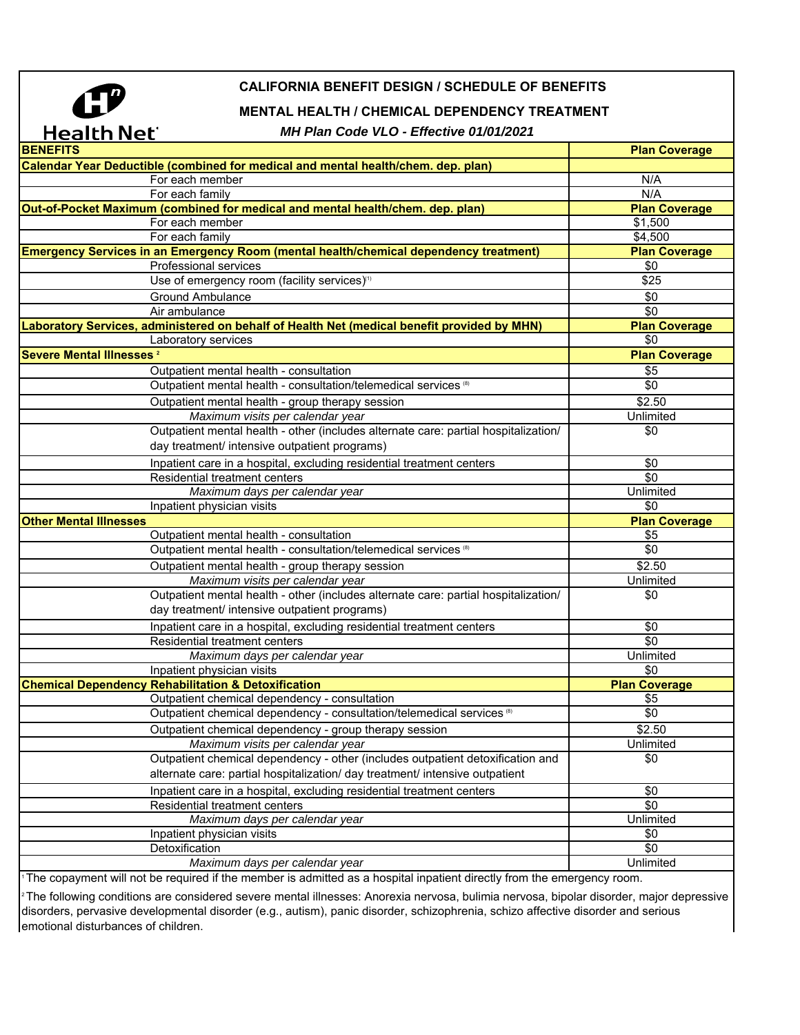

# **CALIFORNIA BENEFIT DESIGN / SCHEDULE OF BENEFITS**

## **MENTAL HEALTH / CHEMICAL DEPENDENCY TREATMENT**

### *MH Plan Code VLO - Effective 01/01/2021*

| .                                                                                           |                      |
|---------------------------------------------------------------------------------------------|----------------------|
| <b>BENEFITS</b>                                                                             | <b>Plan Coverage</b> |
| Calendar Year Deductible (combined for medical and mental health/chem. dep. plan)           |                      |
| For each member                                                                             | N/A                  |
| For each family                                                                             | N/A                  |
| Out-of-Pocket Maximum (combined for medical and mental health/chem. dep. plan)              | <b>Plan Coverage</b> |
| For each member                                                                             | \$1,500              |
| For each family                                                                             | \$4,500              |
| Emergency Services in an Emergency Room (mental health/chemical dependency treatment)       | <b>Plan Coverage</b> |
| <b>Professional services</b>                                                                | \$0                  |
| Use of emergency room (facility services) <sup>11</sup>                                     | \$25                 |
| <b>Ground Ambulance</b>                                                                     | \$0                  |
| Air ambulance                                                                               | \$0                  |
| Laboratory Services, administered on behalf of Health Net (medical benefit provided by MHN) | <b>Plan Coverage</b> |
| Laboratory services                                                                         | \$0                  |
| Severe Mental Illnesses <sup>2</sup>                                                        | <b>Plan Coverage</b> |
| Outpatient mental health - consultation                                                     | \$5                  |
| Outpatient mental health - consultation/telemedical services (8)                            | \$0                  |
| Outpatient mental health - group therapy session                                            | \$2.50               |
| Maximum visits per calendar year                                                            | Unlimited            |
| Outpatient mental health - other (includes alternate care: partial hospitalization/         | \$0                  |
| day treatment/ intensive outpatient programs)                                               |                      |
| Inpatient care in a hospital, excluding residential treatment centers                       | \$0                  |
| Residential treatment centers                                                               | \$0                  |
| Maximum days per calendar year                                                              | Unlimited            |
| Inpatient physician visits                                                                  | \$0                  |
| <b>Other Mental Illnesses</b>                                                               | <b>Plan Coverage</b> |
| Outpatient mental health - consultation                                                     | \$5                  |
| Outpatient mental health - consultation/telemedical services (8)                            | \$0                  |
| Outpatient mental health - group therapy session                                            | \$2.50               |
| Maximum visits per calendar year                                                            | Unlimited            |
| Outpatient mental health - other (includes alternate care: partial hospitalization/         | \$0                  |
| day treatment/ intensive outpatient programs)                                               |                      |
| Inpatient care in a hospital, excluding residential treatment centers                       | \$0                  |
| <b>Residential treatment centers</b>                                                        | $\sqrt{6}$           |
| Maximum days per calendar year                                                              | Unlimited            |
| Inpatient physician visits                                                                  | \$0                  |
| <b>Chemical Dependency Rehabilitation &amp; Detoxification</b>                              | <b>Plan Coverage</b> |
| Outpatient chemical dependency - consultation                                               | \$5                  |
| Outpatient chemical dependency - consultation/telemedical services (8)                      | \$0                  |
| Outpatient chemical dependency - group therapy session                                      | \$2.50               |
| Maximum visits per calendar year                                                            | Unlimited            |
| Outpatient chemical dependency - other (includes outpatient detoxification and              | \$0                  |
| alternate care: partial hospitalization/ day treatment/ intensive outpatient                |                      |
| Inpatient care in a hospital, excluding residential treatment centers                       | \$0                  |
| Residential treatment centers                                                               | \$0                  |
| Maximum days per calendar year                                                              | Unlimited            |
| Inpatient physician visits                                                                  | \$0                  |
| Detoxification                                                                              | \$0                  |
| Maximum days per calendar year                                                              | Unlimited            |

The copayment will not be required if the member is admitted as a hospital inpatient directly from the emergency room.

2 The following conditions are considered severe mental illnesses: Anorexia nervosa, bulimia nervosa, bipolar disorder, major depressive disorders, pervasive developmental disorder (e.g., autism), panic disorder, schizophrenia, schizo affective disorder and serious emotional disturbances of children.